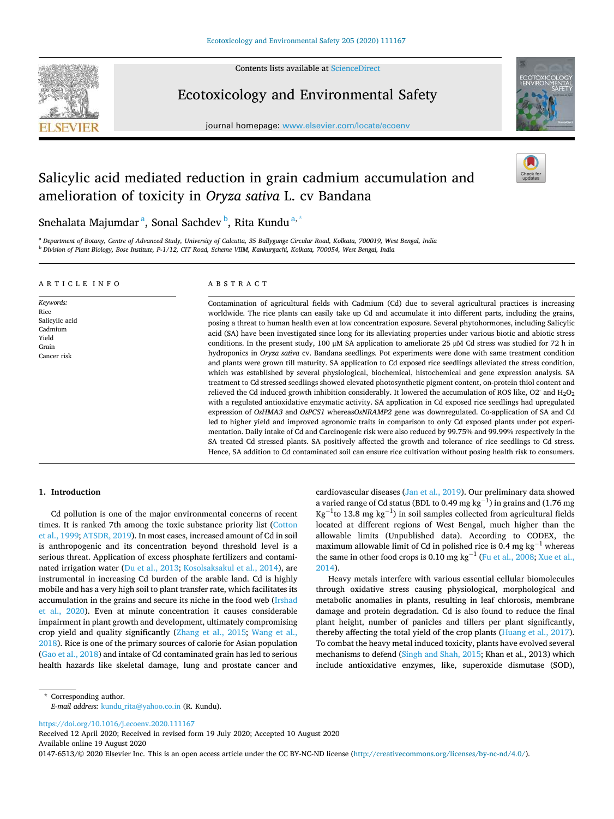

Contents lists available at [ScienceDirect](www.sciencedirect.com/science/journal/01476513)

Ecotoxicology and Environmental Safety

journal homepage: [www.elsevier.com/locate/ecoenv](https://www.elsevier.com/locate/ecoenv) 



# Salicylic acid mediated reduction in grain cadmium accumulation and amelioration of toxicity in *Oryza sativa* L. cv Bandana



Snehalata Majumdar<sup>a</sup>, Sonal Sachdev<sup>b</sup>, Rita Kundu<sup>a,\*</sup>

<sup>a</sup> *Department of Botany, Centre of Advanced Study, University of Calcutta, 35 Ballygunge Circular Road, Kolkata, 700019, West Bengal, India*  <sup>b</sup> *Division of Plant Biology, Bose Institute, P-1/12, CIT Road, Scheme VIIM, Kankurgachi, Kolkata, 700054, West Bengal, India* 

#### A R T I C L E I N F O

*Keywords:*  Rice Salicylic acid Cadmium Yield Grain Cancer risk

# ABSTRACT

Contamination of agricultural fields with Cadmium (Cd) due to several agricultural practices is increasing worldwide. The rice plants can easily take up Cd and accumulate it into different parts, including the grains, posing a threat to human health even at low concentration exposure. Several phytohormones, including Salicylic acid (SA) have been investigated since long for its alleviating properties under various biotic and abiotic stress conditions. In the present study, 100 μM SA application to ameliorate 25 μM Cd stress was studied for 72 h in hydroponics in *Oryza sativa* cv. Bandana seedlings. Pot experiments were done with same treatment condition and plants were grown till maturity. SA application to Cd exposed rice seedlings alleviated the stress condition, which was established by several physiological, biochemical, histochemical and gene expression analysis. SA treatment to Cd stressed seedlings showed elevated photosynthetic pigment content, on-protein thiol content and relieved the Cd induced growth inhibition considerably. It lowered the accumulation of ROS like, O2- and H2O<sup>2</sup> with a regulated antioxidative enzymatic activity. SA application in Cd exposed rice seedlings had upregulated expression of *OsHMA3* and *OsPCS1* whereas*OsNRAMP2* gene was downregulated. Co-application of SA and Cd led to higher yield and improved agronomic traits in comparison to only Cd exposed plants under pot experimentation. Daily intake of Cd and Carcinogenic risk were also reduced by 99.75% and 99.99% respectively in the SA treated Cd stressed plants. SA positively affected the growth and tolerance of rice seedlings to Cd stress. Hence, SA addition to Cd contaminated soil can ensure rice cultivation without posing health risk to consumers.

# **1. Introduction**

Cd pollution is one of the major environmental concerns of recent times. It is ranked 7th among the toxic substance priority list [\(Cotton](#page-9-0)  [et al., 1999; ATSDR, 2019](#page-9-0)). In most cases, increased amount of Cd in soil is anthropogenic and its concentration beyond threshold level is a serious threat. Application of excess phosphate fertilizers and contaminated irrigation water ([Du et al., 2013;](#page-9-0) [Kosolsaksakul et al., 2014\)](#page-10-0), are instrumental in increasing Cd burden of the arable land. Cd is highly mobile and has a very high soil to plant transfer rate, which facilitates its accumulation in the grains and secure its niche in the food web ([Irshad](#page-10-0)  [et al., 2020](#page-10-0)). Even at minute concentration it causes considerable impairment in plant growth and development, ultimately compromising crop yield and quality significantly [\(Zhang et al., 2015;](#page-11-0) [Wang et al.,](#page-11-0)  [2018\)](#page-11-0). Rice is one of the primary sources of calorie for Asian population ([Gao et al., 2018](#page-9-0)) and intake of Cd contaminated grain has led to serious health hazards like skeletal damage, lung and prostate cancer and

cardiovascular diseases [\(Jan et al., 2019](#page-10-0)). Our preliminary data showed a varied range of Cd status (BDL to 0.49 mg  $\text{kg}^{-1}$ ) in grains and (1.76 mg Kg<sup>-1</sup>to 13.8 mg kg<sup>-1</sup>) in soil samples collected from agricultural fields located at different regions of West Bengal, much higher than the allowable limits (Unpublished data). According to CODEX, the maximum allowable limit of Cd in polished rice is 0.4 mg kg<sup>-1</sup> whereas the same in other food crops is  $0.10$  mg kg<sup>-1</sup> ([Fu et al., 2008](#page-9-0); Xue et al., [2014\)](#page-11-0).

Heavy metals interfere with various essential cellular biomolecules through oxidative stress causing physiological, morphological and metabolic anomalies in plants, resulting in leaf chlorosis, membrane damage and protein degradation. Cd is also found to reduce the final plant height, number of panicles and tillers per plant significantly, thereby affecting the total yield of the crop plants [\(Huang et al., 2017](#page-10-0)). To combat the heavy metal induced toxicity, plants have evolved several mechanisms to defend ([Singh and Shah, 2015;](#page-11-0) Khan et al., 2013) which include antioxidative enzymes, like, superoxide dismutase (SOD),

\* Corresponding author. *E-mail address:* [kundu\\_rita@yahoo.co.in](mailto:kundu_rita@yahoo.co.in) (R. Kundu).

<https://doi.org/10.1016/j.ecoenv.2020.111167>

Available online 19 August 2020 Received 12 April 2020; Received in revised form 19 July 2020; Accepted 10 August 2020

0147-6513/© 2020 Elsevier Inc. This is an open access article under the CC BY-NC-ND license (http://creativecommons.org/licenses/by-nc-nd/4.0/).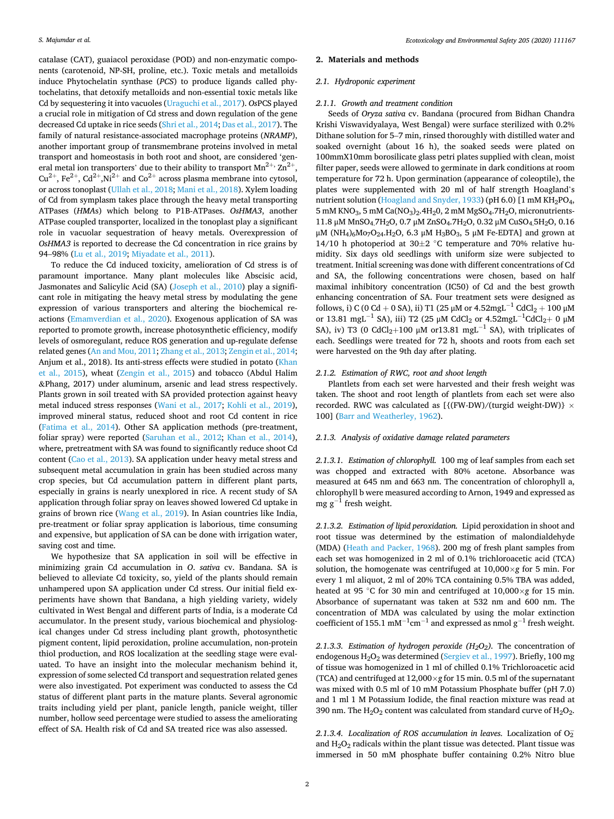catalase (CAT), guaiacol peroxidase (POD) and non-enzymatic components (carotenoid, NP-SH, proline, etc.). Toxic metals and metalloids induce Phytochelatin synthase (*PCS*) to produce ligands called phytochelatins, that detoxify metalloids and non-essential toxic metals like Cd by sequestering it into vacuoles ([Uraguchi et al., 2017](#page-11-0)). *Os*PCS played a crucial role in mitigation of Cd stress and down regulation of the gene decreased Cd uptake in rice seeds [\(Shri et al., 2014;](#page-11-0) [Das et al., 2017\)](#page-9-0). The family of natural resistance-associated macrophage proteins (*NRAMP*), another important group of transmembrane proteins involved in metal transport and homeostasis in both root and shoot, are considered 'general metal ion transporters' due to their ability to transport  $Mn^{2+}$ ,  $Zn^{2+}$ ,  $Cu^{2+}$ ,  $Fe^{2+}$ ,  $Cd^{2+}$ ,  $Ni^{2+}$  and  $Co^{2+}$  across plasma membrane into cytosol, or across tonoplast ([Ullah et al., 2018;](#page-11-0) [Mani et al., 2018](#page-10-0)). Xylem loading of Cd from symplasm takes place through the heavy metal transporting ATPases (*HMA*s) which belong to P1B-ATPases. *OsHMA3*, another ATPase coupled transporter, localized in the tonoplast play a significant role in vacuolar sequestration of heavy metals. Overexpression of *OsHMA3* is reported to decrease the Cd concentration in rice grains by 94–98% ([Lu et al., 2019](#page-10-0); [Miyadate et al., 2011](#page-10-0)).

To reduce the Cd induced toxicity, amelioration of Cd stress is of paramount importance. Many plant molecules like Abscisic acid, Jasmonates and Salicylic Acid (SA) ([Joseph et al., 2010\)](#page-10-0) play a significant role in mitigating the heavy metal stress by modulating the gene expression of various transporters and altering the biochemical reactions [\(Emamverdian et al., 2020\)](#page-9-0). Exogenous application of SA was reported to promote growth, increase photosynthetic efficiency, modify levels of osmoregulant, reduce ROS generation and up-regulate defense related genes [\(An and Mou, 2011;](#page-9-0) [Zhang et al., 2013](#page-11-0); [Zengin et al., 2014](#page-11-0); Anjum et al., 2018). Its anti-stress effects were studied in potato [\(Khan](#page-10-0)  [et al., 2015\)](#page-10-0), wheat [\(Zengin et al., 2015](#page-11-0)) and tobacco (Abdul Halim &Phang, 2017) under aluminum, arsenic and lead stress respectively. Plants grown in soil treated with SA provided protection against heavy metal induced stress responses [\(Wani et al., 2017](#page-11-0); [Kohli et al., 2019](#page-10-0)), improved mineral status, reduced shoot and root Cd content in rice ([Fatima et al., 2014\)](#page-9-0). Other SA application methods (pre-treatment, foliar spray) were reported [\(Saruhan et al., 2012](#page-11-0); [Khan et al., 2014](#page-10-0)), where, pretreatment with SA was found to significantly reduce shoot Cd content [\(Cao et al., 2013\)](#page-9-0). SA application under heavy metal stress and subsequent metal accumulation in grain has been studied across many crop species, but Cd accumulation pattern in different plant parts, especially in grains is nearly unexplored in rice. A recent study of SA application through foliar spray on leaves showed lowered Cd uptake in grains of brown rice [\(Wang et al., 2019](#page-11-0)). In Asian countries like India, pre-treatment or foliar spray application is laborious, time consuming and expensive, but application of SA can be done with irrigation water, saving cost and time.

We hypothesize that SA application in soil will be effective in minimizing grain Cd accumulation in *O*. *sativa* cv. Bandana. SA is believed to alleviate Cd toxicity, so, yield of the plants should remain unhampered upon SA application under Cd stress. Our initial field experiments have shown that Bandana, a high yielding variety, widely cultivated in West Bengal and different parts of India, is a moderate Cd accumulator. In the present study, various biochemical and physiological changes under Cd stress including plant growth, photosynthetic pigment content, lipid peroxidation, proline accumulation, non-protein thiol production, and ROS localization at the seedling stage were evaluated. To have an insight into the molecular mechanism behind it, expression of some selected Cd transport and sequestration related genes were also investigated. Pot experiment was conducted to assess the Cd status of different plant parts in the mature plants. Several agronomic traits including yield per plant, panicle length, panicle weight, tiller number, hollow seed percentage were studied to assess the ameliorating effect of SA. Health risk of Cd and SA treated rice was also assessed.

#### **2. Materials and methods**

## *2.1. Hydroponic experiment*

## *2.1.1. Growth and treatment condition*

Seeds of *Oryza sativa* cv. Bandana (procured from Bidhan Chandra Krishi Viswavidyalaya, West Bengal) were surface sterilized with 0.2% Dithane solution for 5–7 min, rinsed thoroughly with distilled water and soaked overnight (about 16 h), the soaked seeds were plated on 100mmX10mm borosilicate glass petri plates supplied with clean, moist filter paper, seeds were allowed to germinate in dark conditions at room temperature for 72 h. Upon germination (appearance of coleoptile), the plates were supplemented with 20 ml of half strength Hoagland's nutrient solution ([Hoagland and Snyder, 1933\)](#page-10-0) (pH 6.0) [1 mM KH<sub>2</sub>PO<sub>4</sub>, 5 mM KNO<sub>3</sub>, 5 mM Ca(NO<sub>3</sub>)<sub>2</sub>.4H<sub>2</sub>0, 2 mM MgSO<sub>4</sub>.7H<sub>2</sub>O, micronutrients-11.8 μM MnSO4.7H2O, 0.7 μM ZnSO4.7H2O, 0.32 μM CuSO4.5H2O, 0.16 μM (NH<sub>4</sub>)<sub>6</sub>Mo<sub>7</sub>O<sub>24</sub>.H<sub>2</sub>O, 6.3 μM H<sub>3</sub>BO<sub>3</sub>, 5 μM Fe-EDTA] and grown at 14/10 h photoperiod at 30 $\pm$ 2 °C temperature and 70% relative humidity. Six days old seedlings with uniform size were subjected to treatment. Initial screening was done with different concentrations of Cd and SA, the following concentrations were chosen, based on half maximal inhibitory concentration (IC50) of Cd and the best growth enhancing concentration of SA. Four treatment sets were designed as follows, i) C (0 Cd + 0 SA), ii) T1 (25 µM or  $4.52$ mgL<sup>-1</sup> CdCl<sub>2</sub> + 100 µM or 13.81 mgL<sup>-1</sup> SA), iii) T2 (25 μM CdCl<sub>2</sub> or  $4.52$ mgL<sup>-1</sup>CdCl<sub>2</sub>+ 0 μM SA), iv) T3 (0 CdCl<sub>2</sub>+100 µM or13.81 mgL<sup>-1</sup> SA), with triplicates of each. Seedlings were treated for 72 h, shoots and roots from each set were harvested on the 9th day after plating.

#### *2.1.2. Estimation of RWC, root and shoot length*

Plantlets from each set were harvested and their fresh weight was taken. The shoot and root length of plantlets from each set were also recorded. RWC was calculated as [ ${(FW-DW)/(turgid weight-DW)} \times$ 100] ([Barr and Weatherley, 1962\)](#page-9-0).

#### *2.1.3. Analysis of oxidative damage related parameters*

*2.1.3.1. Estimation of chlorophyll.* 100 mg of leaf samples from each set was chopped and extracted with 80% acetone. Absorbance was measured at 645 nm and 663 nm. The concentration of chlorophyll a, chlorophyll b were measured according to Arnon, 1949 and expressed as mg  $g^{-1}$  fresh weight.

*2.1.3.2. Estimation of lipid peroxidation.* Lipid peroxidation in shoot and root tissue was determined by the estimation of malondialdehyde (MDA) [\(Heath and Packer, 1968](#page-10-0)). 200 mg of fresh plant samples from each set was homogenized in 2 ml of 0.1% trichloroacetic acid (TCA) solution, the homogenate was centrifuged at 10,000×*g* for 5 min. For every 1 ml aliquot, 2 ml of 20% TCA containing 0.5% TBA was added, heated at 95 ◦C for 30 min and centrifuged at 10,000×*g* for 15 min. Absorbance of supernatant was taken at 532 nm and 600 nm. The concentration of MDA was calculated by using the molar extinction coefficient of 155.1 mM<sup>-1</sup>cm<sup>-1</sup> and expressed as nmol  $g^{-1}$  fresh weight.

*2.1.3.3. Estimation of hydrogen peroxide (H2O2).* The concentration of endogenous H<sub>2</sub>O<sub>2</sub> was determined ([Sergiev et al., 1997](#page-11-0)). Briefly, 100 mg of tissue was homogenized in 1 ml of chilled 0.1% Trichloroacetic acid (TCA) and centrifuged at 12,000×*g* for 15 min. 0.5 ml of the supernatant was mixed with 0.5 ml of 10 mM Potassium Phosphate buffer (pH 7.0) and 1 ml 1 M Potassium Iodide, the final reaction mixture was read at 390 nm. The  $H_2O_2$  content was calculated from standard curve of  $H_2O_2$ .

2.1.3.4. Localization of ROS accumulation in leaves. Localization of  $O_2^$ and  $H_2O_2$  radicals within the plant tissue was detected. Plant tissue was immersed in 50 mM phosphate buffer containing 0.2% Nitro blue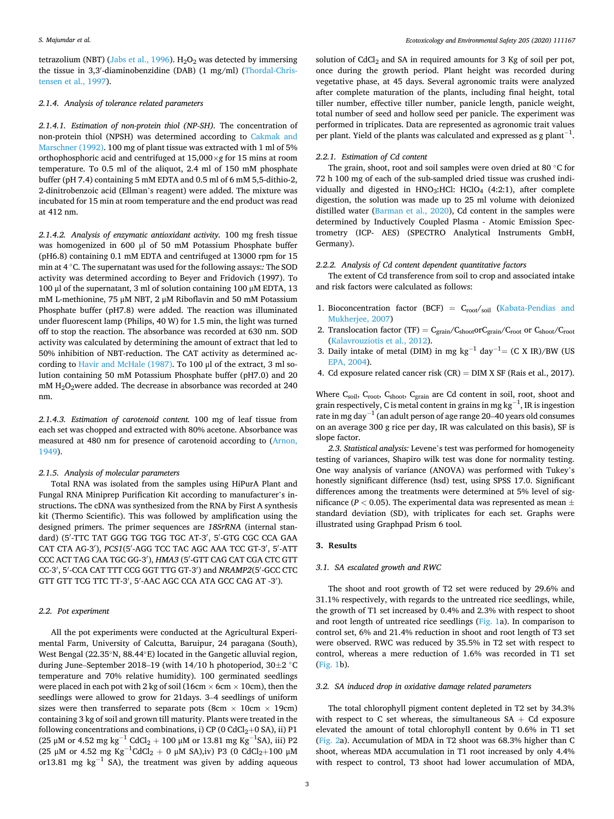tetrazolium (NBT) ([Jabs et al., 1996\)](#page-10-0). H<sub>2</sub>O<sub>2</sub> was detected by immersing the tissue in 3,3′ -diaminobenzidine (DAB) (1 mg/ml) ([Thordal-Chris](#page-11-0)[tensen et al., 1997\)](#page-11-0).

## *2.1.4. Analysis of tolerance related parameters*

*2.1.4.1. Estimation of non-protein thiol (NP-SH).* The concentration of non-protein thiol (NPSH) was determined according to [Cakmak and](#page-9-0)  [Marschner \(1992\).](#page-9-0) 100 mg of plant tissue was extracted with 1 ml of 5% orthophosphoric acid and centrifuged at 15,000×*g* for 15 mins at room temperature. To 0.5 ml of the aliquot, 2.4 ml of 150 mM phosphate buffer (pH 7.4) containing 5 mM EDTA and 0.5 ml of 6 mM 5,5-dithio-2, 2-dinitrobenzoic acid (Ellman's reagent) were added. The mixture was incubated for 15 min at room temperature and the end product was read at 412 nm.

*2.1.4.2. Analysis of enzymatic antioxidant activity.* 100 mg fresh tissue was homogenized in 600 μl of 50 mM Potassium Phosphate buffer (pH6.8) containing 0.1 mM EDTA and centrifuged at 13000 rpm for 15 min at 4 ◦C. The supernatant was used for the following assays:*:* The SOD activity was determined according to Beyer and Fridovich (1997). To 100 μl of the supernatant, 3 ml of solution containing 100 μM EDTA, 13 mM L-methionine, 75 μM NBT, 2 μM Riboflavin and 50 mM Potassium Phosphate buffer (pH7.8) were added. The reaction was illuminated under fluorescent lamp (Philips, 40 W) for 1.5 min, the light was turned off to stop the reaction. The absorbance was recorded at 630 nm. SOD activity was calculated by determining the amount of extract that led to 50% inhibition of NBT-reduction. The CAT activity as determined according to [Havir and McHale \(1987\)](#page-10-0). To 100 μl of the extract, 3 ml solution containing 50 mM Potassium Phosphate buffer (pH7.0) and 20 mM H2O2were added. The decrease in absorbance was recorded at 240 nm.

*2.1.4.3. Estimation of carotenoid content.* 100 mg of leaf tissue from each set was chopped and extracted with 80% acetone. Absorbance was measured at 480 nm for presence of carotenoid according to ([Arnon,](#page-9-0)  [1949\)](#page-9-0).

#### *2.1.5. Analysis of molecular parameters*

Total RNA was isolated from the samples using HiPurA Plant and Fungal RNA Miniprep Purification Kit according to manufacturer's instructions**.** The cDNA was synthesized from the RNA by First A synthesis kit (Thermo Scientific). This was followed by amplification using the designed primers. The primer sequences are *18SrRNA* (internal standard) (5'-TTC TAT GGG TGG TGG TGC AT-3', 5'-GTG CGC CCA GAA CAT CTA AG-3'), *PCS1*(5'-AGG TCC TAC AGC AAA TCC GT-3', 5'-ATT CCC ACT TAG CAA TGC GG-3′ ), *HMA3* (5′ -GTT CAG CAT CGA CTC GTT CC-3′ , 5′ -CCA CAT TTT CCG GGT TTG GT-3′ ) and *NRAMP2*(5′ -GCC CTC GTT GTT TCG TTC TT-3', 5'-AAC AGC CCA ATA GCC CAG AT -3').

#### *2.2. Pot experiment*

All the pot experiments were conducted at the Agricultural Experimental Farm, University of Calcutta, Baruipur, 24 paragana (South), West Bengal (22.35◦N, 88.44◦E) located in the Gangetic alluvial region, during June–September 2018–19 (with 14/10 h photoperiod, 30±2 ◦C temperature and 70% relative humidity). 100 germinated seedlings were placed in each pot with 2 kg of soil (16cm  $\times$  6cm  $\times$  10cm), then the seedlings were allowed to grow for 21days. 3–4 seedlings of uniform sizes were then transferred to separate pots (8cm  $\times$  10cm  $\times$  19cm) containing 3 kg of soil and grown till maturity. Plants were treated in the following concentrations and combinations, i) CP (0  $CdCl<sub>2</sub>+O SA$ ), ii) P1 (25 μM or 4.52 mg kg<sup>-1</sup> CdCl<sub>2</sub> + 100 μM or 13.81 mg Kg<sup>-1</sup>SA), iii) P2 (25 μM or 4.52 mg Kg<sup>-1</sup>CdCl<sub>2</sub> + 0 μM SA),iv) P3 (0 CdCl<sub>2</sub>+100 μM or13.81 mg  $kg^{-1}$  SA), the treatment was given by adding aqueous

solution of  $CdCl<sub>2</sub>$  and SA in required amounts for 3 Kg of soil per pot, once during the growth period. Plant height was recorded during vegetative phase, at 45 days. Several agronomic traits were analyzed after complete maturation of the plants, including final height, total tiller number, effective tiller number, panicle length, panicle weight, total number of seed and hollow seed per panicle. The experiment was performed in triplicates. Data are represented as agronomic trait values per plant. Yield of the plants was calculated and expressed as g plant<sup>-1</sup>.

#### *2.2.1. Estimation of Cd content*

The grain, shoot, root and soil samples were oven dried at 80 ◦C for 72 h 100 mg of each of the sub-sampled dried tissue was crushed individually and digested in  $HNO<sub>3</sub>:HCl: HClO<sub>4</sub> (4:2:1),$  after complete digestion, the solution was made up to 25 ml volume with deionized distilled water ([Barman et al., 2020\)](#page-9-0), Cd content in the samples were determined by Inductively Coupled Plasma - Atomic Emission Spectrometry (ICP- AES) (SPECTRO Analytical Instruments GmbH, Germany).

#### *2.2.2. Analysis of Cd content dependent quantitative factors*

The extent of Cd transference from soil to crop and associated intake and risk factors were calculated as follows:

- 1. Bioconcentration factor (BCF) =  $C_{root/soil}$  (Kabata-Pendias and [Mukherjee, 2007\)](#page-10-0)
- 2. Translocation factor (TF) =  $C_{\text{grain}}/C_{\text{shoot}}$  or  $C_{\text{spoot}}/C_{\text{root}}$ ([Kalavrouziotis et al., 2012\)](#page-10-0).
- 3. Daily intake of metal (DIM) in mg kg<sup>-1</sup> day<sup>-1</sup>= (C X IR)/BW (US [EPA, 2004\)](#page-9-0).
- 4. Cd exposure related cancer risk  $(CR) = DIM X SF$  (Rais et al., 2017).

Where C<sub>soil</sub>, C<sub>root</sub>, C<sub>shoot</sub>, C<sub>grain</sub> are Cd content in soil, root, shoot and grain respectively, C is metal content in grains in mg  $kg^{-1}$ , IR is ingestion rate in mg day<sup>-1</sup> (an adult person of age range 20–40 years old consumes on an average 300 g rice per day, IR was calculated on this basis), SF is slope factor.

*2.3. Statistical analysis:* Levene's test was performed for homogeneity testing of variances, Shapiro wilk test was done for normality testing. One way analysis of variance (ANOVA) was performed with Tukey's honestly significant difference (hsd) test, using SPSS 17.0. Significant differences among the treatments were determined at 5% level of significance ( $P < 0.05$ ). The experimental data was represented as mean  $\pm$ standard deviation (SD), with triplicates for each set. Graphs were illustrated using Graphpad Prism 6 tool.

## **3. Results**

## *3.1. SA escalated growth and RWC*

The shoot and root growth of T2 set were reduced by 29.6% and 31.1% respectively, with regards to the untreated rice seedlings, while, the growth of T1 set increased by 0.4% and 2.3% with respect to shoot and root length of untreated rice seedlings ([Fig. 1](#page-3-0)a). In comparison to control set, 6% and 21.4% reduction in shoot and root length of T3 set were observed. RWC was reduced by 35.5% in T2 set with respect to control, whereas a mere reduction of 1.6% was recorded in T1 set ([Fig. 1b](#page-3-0)).

#### *3.2. SA induced drop in oxidative damage related parameters*

The total chlorophyll pigment content depleted in T2 set by 34.3% with respect to C set whereas, the simultaneous  $SA + Cd$  exposure elevated the amount of total chlorophyll content by 0.6% in T1 set ([Fig. 2a](#page-3-0)). Accumulation of MDA in T2 shoot was 68.3% higher than C shoot, whereas MDA accumulation in T1 root increased by only 4.4% with respect to control, T3 shoot had lower accumulation of MDA,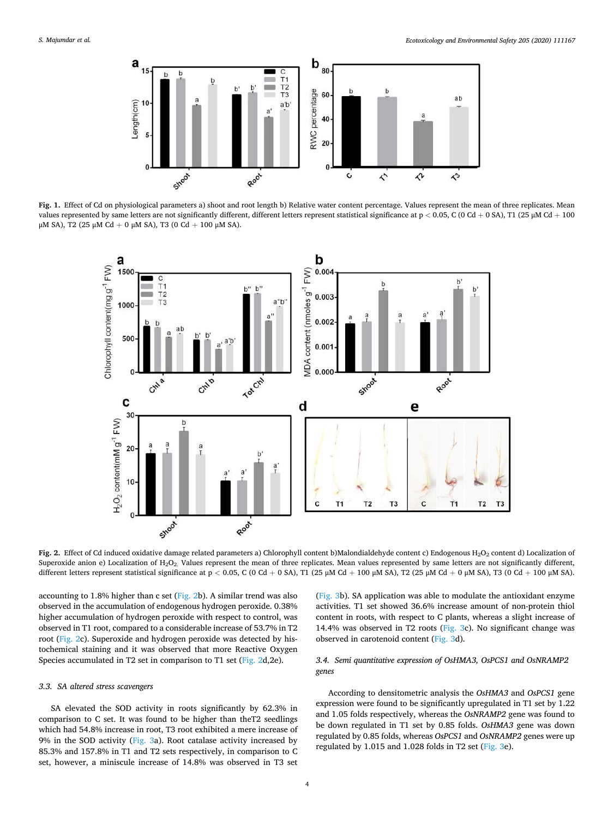<span id="page-3-0"></span>

**Fig. 1.** Effect of Cd on physiological parameters a) shoot and root length b) Relative water content percentage. Values represent the mean of three replicates. Mean values represented by same letters are not significantly different, different letters represent statistical significance at p *<* 0.05, C (0 Cd + 0 SA), T1 (25 μM Cd + 100 μM SA), Τ2 (25 μM Cd + 0 μM SA), Τ3 (0 Cd + 100 μM SA).



Fig. 2. Effect of Cd induced oxidative damage related parameters a) Chlorophyll content b)Malondialdehyde content c) Endogenous H<sub>2</sub>O<sub>2</sub> content d) Localization of Superoxide anion e) Localization of H<sub>2</sub>O<sub>2</sub>. Values represent the mean of three replicates. Mean values represented by same letters are not significantly different, different letters represent statistical significance at p < 0.05, C (0 Cd + 0 SA), T1 (25 μM Cd + 100 μM SA), T2 (25 μM Cd + 0 μM SA), T3 (0 Cd + 100 μM SA).

accounting to 1.8% higher than c set ( $Fig. 2b$ ). A similar trend was also observed in the accumulation of endogenous hydrogen peroxide. 0.38% higher accumulation of hydrogen peroxide with respect to control, was observed in T1 root, compared to a considerable increase of 53.7% in T2 root (Fig. 2c). Superoxide and hydrogen peroxide was detected by histochemical staining and it was observed that more Reactive Oxygen Species accumulated in T2 set in comparison to T1 set (Fig. 2d,2e).

#### *3.3. SA altered stress scavengers*

SA elevated the SOD activity in roots significantly by 62.3% in comparison to C set. It was found to be higher than theT2 seedlings which had 54.8% increase in root, T3 root exhibited a mere increase of 9% in the SOD activity ([Fig. 3a](#page-4-0)). Root catalase activity increased by 85.3% and 157.8% in T1 and T2 sets respectively, in comparison to C set, however, a miniscule increase of 14.8% was observed in T3 set

([Fig. 3b](#page-4-0)). SA application was able to modulate the antioxidant enzyme activities. T1 set showed 36.6% increase amount of non-protein thiol content in roots, with respect to C plants, whereas a slight increase of 14.4% was observed in T2 roots [\(Fig. 3c](#page-4-0)). No significant change was observed in carotenoid content ([Fig. 3d](#page-4-0)).

# *3.4. Semi quantitative expression of OsHMA3, OsPCS1 and OsNRAMP2 genes*

According to densitometric analysis the *OsHMA3* and *OsPCS1* gene expression were found to be significantly upregulated in T1 set by 1.22 and 1.05 folds respectively, whereas the *OsNRAMP2* gene was found to be down regulated in T1 set by 0.85 folds. *OsHMA3* gene was down regulated by 0.85 folds, whereas *OsPCS1* and *OsNRAMP2* genes were up regulated by 1.015 and 1.028 folds in T2 set [\(Fig. 3](#page-4-0)e).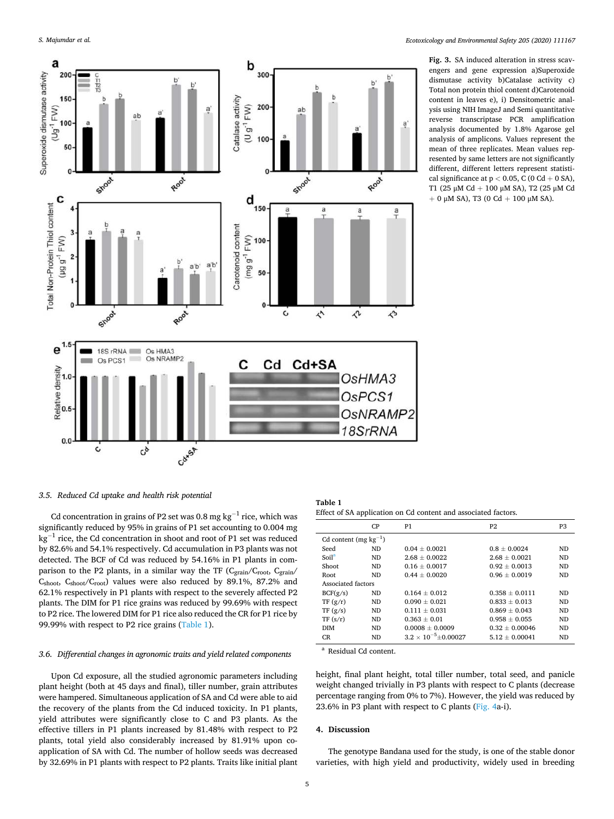<span id="page-4-0"></span>

**Fig. 3.** SA induced alteration in stress scavengers and gene expression a)Superoxide dismutase activity b)Catalase activity c) Total non protein thiol content d)Carotenoid content in leaves e), i) Densitometric analysis using NIH ImageJ and Semi quantitative reverse transcriptase PCR amplification analysis documented by 1.8% Agarose gel analysis of amplicons. Values represent the mean of three replicates. Mean values represented by same letters are not significantly different, different letters represent statistical significance at p *<* 0.05, C (0 Cd + 0 SA), T1 (25 μM Cd + 100 μM SA), T2 (25 μM Cd  $+ 0$  μM SA), T3 (0 Cd  $+ 100$  μM SA).

## *3.5. Reduced Cd uptake and health risk potential*

Cd concentration in grains of P2 set was 0.8 mg  $\text{kg}^{-1}$  rice, which was significantly reduced by 95% in grains of P1 set accounting to 0.004 mg kg−1 rice, the Cd concentration in shoot and root of P1 set was reduced by 82.6% and 54.1% respectively. Cd accumulation in P3 plants was not detected. The BCF of Cd was reduced by 54.16% in P1 plants in comparison to the P2 plants, in a similar way the TF ( $C_{grain}/C_{root}$ ,  $C_{grain}/C_{pot}$ )  $C_{\text{shoot}}$ ,  $C_{\text{shoot}}$ / $C_{\text{root}}$ ) values were also reduced by 89.1%, 87.2% and 62.1% respectively in P1 plants with respect to the severely affected P2 plants. The DIM for P1 rice grains was reduced by 99.69% with respect to P2 rice. The lowered DIM for P1 rice also reduced the CR for P1 rice by 99.99% with respect to P2 rice grains (Table 1).

## *3.6. Differential changes in agronomic traits and yield related components*

Upon Cd exposure, all the studied agronomic parameters including plant height (both at 45 days and final), tiller number, grain attributes were hampered. Simultaneous application of SA and Cd were able to aid the recovery of the plants from the Cd induced toxicity. In P1 plants, yield attributes were significantly close to C and P3 plants. As the effective tillers in P1 plants increased by 81.48% with respect to P2 plants, total yield also considerably increased by 81.91% upon coapplication of SA with Cd. The number of hollow seeds was decreased by 32.69% in P1 plants with respect to P2 plants. Traits like initial plant

| Table 1 |  |                                                                |
|---------|--|----------------------------------------------------------------|
|         |  | Effect of SA application on Cd content and associated factors. |

|                            | CP  | P1                             | <b>P2</b>        | P <sub>3</sub> |
|----------------------------|-----|--------------------------------|------------------|----------------|
| Cd content (mg $kg^{-1}$ ) |     |                                |                  |                |
| Seed                       | ND. | $0.04 + 0.0021$                | $0.8 + 0.0024$   | ND.            |
| Soil <sup>a</sup>          | ND. | $2.68 + 0.0022$                | $2.68 + 0.0021$  | ND.            |
| Shoot                      | ND. | $0.16 + 0.0017$                | $0.92 + 0.0013$  | ND.            |
| Root                       | ND. | $0.44 + 0.0020$                | $0.96 + 0.0019$  | ND.            |
| Associated factors         |     |                                |                  |                |
| BCF(g/s)                   | ND. | $0.164 + 0.012$                | $0.358 + 0.0111$ | ND.            |
| TF(g/r)                    | ND. | $0.090 \pm 0.021$              | $0.833 + 0.013$  | ND.            |
| TF(g/s)                    | ND. | $0.111 + 0.031$                | $0.869 + 0.043$  | <b>ND</b>      |
| TF (s/r)                   | ND. | $0.363 + 0.01$                 | $0.958 + 0.055$  | ND.            |
| <b>DIM</b>                 | ND. | $0.0008 + 0.0009$              | $0.32 + 0.00046$ | ND.            |
| CR.                        | ND. | $3.2 \times 10^{-5} + 0.00027$ | $5.12 + 0.00041$ | ND.            |

Residual Cd content.

height, final plant height, total tiller number, total seed, and panicle weight changed trivially in P3 plants with respect to C plants (decrease percentage ranging from 0% to 7%). However, the yield was reduced by 23.6% in P3 plant with respect to C plants [\(Fig. 4](#page-5-0)a-i).

## **4. Discussion**

The genotype Bandana used for the study, is one of the stable donor varieties, with high yield and productivity, widely used in breeding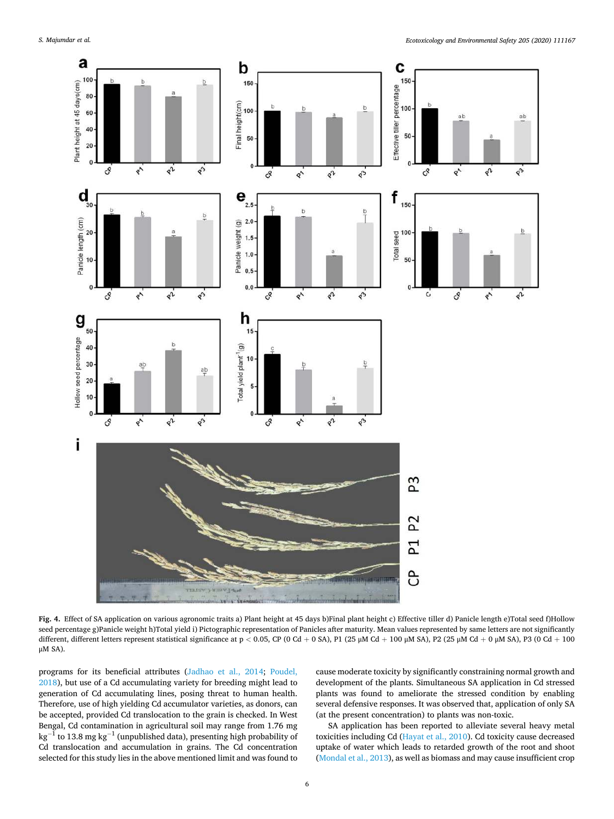<span id="page-5-0"></span>

**Fig. 4.** Effect of SA application on various agronomic traits a) Plant height at 45 days b)Final plant height c) Effective tiller d) Panicle length e)Total seed f)Hollow seed percentage g)Panicle weight h)Total yield i) Pictographic representation of Panicles after maturity. Mean values represented by same letters are not significantly different, different letters represent statistical significance at p < 0.05, CP (0 Cd + 0 SA), P1 (25 μM Cd + 100 μM SA), P2 (25 μM Cd + 0 μM SA), P3 (0 Cd + 100 μM SA).

programs for its beneficial attributes ([Jadhao et al., 2014;](#page-10-0) [Poudel,](#page-10-0)  [2018\)](#page-10-0), but use of a Cd accumulating variety for breeding might lead to generation of Cd accumulating lines, posing threat to human health. Therefore, use of high yielding Cd accumulator varieties, as donors, can be accepted, provided Cd translocation to the grain is checked. In West Bengal, Cd contamination in agricultural soil may range from 1.76 mg  $kg^{-1}$  to 13.8 mg kg<sup>-1</sup> (unpublished data), presenting high probability of Cd translocation and accumulation in grains. The Cd concentration selected for this study lies in the above mentioned limit and was found to cause moderate toxicity by significantly constraining normal growth and development of the plants. Simultaneous SA application in Cd stressed plants was found to ameliorate the stressed condition by enabling several defensive responses. It was observed that, application of only SA (at the present concentration) to plants was non-toxic.

SA application has been reported to alleviate several heavy metal toxicities including Cd ([Hayat et al., 2010\)](#page-10-0). Cd toxicity cause decreased uptake of water which leads to retarded growth of the root and shoot ([Mondal et al., 2013\)](#page-10-0), as well as biomass and may cause insufficient crop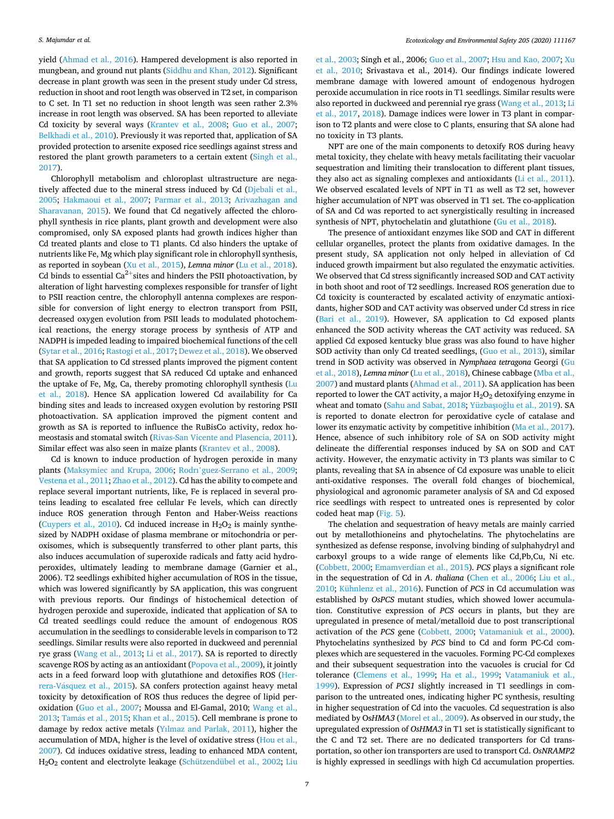yield ([Ahmad et al., 2016](#page-9-0)). Hampered development is also reported in mungbean, and ground nut plants [\(Siddhu and Khan, 2012\)](#page-11-0). Significant decrease in plant growth was seen in the present study under Cd stress, reduction in shoot and root length was observed in T2 set, in comparison to C set. In T1 set no reduction in shoot length was seen rather 2.3% increase in root length was observed. SA has been reported to alleviate Cd toxicity by several ways ([Krantev et al., 2008;](#page-10-0) [Guo et al., 2007](#page-10-0); [Belkhadi et al., 2010\)](#page-9-0). Previously it was reported that, application of SA provided protection to arsenite exposed rice seedlings against stress and restored the plant growth parameters to a certain extent ([Singh et al.,](#page-11-0)  [2017\)](#page-11-0).

Chlorophyll metabolism and chloroplast ultrastructure are negatively affected due to the mineral stress induced by Cd [\(Djebali et al.,](#page-9-0)  [2005;](#page-9-0) [Hakmaoui et al., 2007](#page-10-0); [Parmar et al., 2013;](#page-10-0) [Arivazhagan and](#page-9-0)  [Sharavanan, 2015](#page-9-0)). We found that Cd negatively affected the chlorophyll synthesis in rice plants, plant growth and development were also compromised, only SA exposed plants had growth indices higher than Cd treated plants and close to T1 plants. Cd also hinders the uptake of nutrients like Fe, Mg which play significant role in chlorophyll synthesis, as reported in soybean ([Xu et al., 2015](#page-11-0)), *Lemna minor* [\(Lu et al., 2018](#page-10-0)). Cd binds to essential Ca<sup>2+</sup>sites and hinders the PSII photoactivation, by alteration of light harvesting complexes responsible for transfer of light to PSII reaction centre, the chlorophyll antenna complexes are responsible for conversion of light energy to electron transport from PSII, decreased oxygen evolution from PSII leads to modulated photochemical reactions, the energy storage process by synthesis of ATP and NADPH is impeded leading to impaired biochemical functions of the cell ([Sytar et al., 2016](#page-11-0); [Rastogi et al., 2017;](#page-11-0) [Dewez et al., 2018](#page-9-0)). We observed that SA application to Cd stressed plants improved the pigment content and growth, reports suggest that SA reduced Cd uptake and enhanced the uptake of Fe, Mg, Ca, thereby promoting chlorophyll synthesis ([Lu](#page-10-0)  [et al., 2018\)](#page-10-0). Hence SA application lowered Cd availability for Ca binding sites and leads to increased oxygen evolution by restoring PSII photoactivation. SA application improved the pigment content and growth as SA is reported to influence the RuBisCo activity, redox homeostasis and stomatal switch [\(Rivas-San Vicente and Plasencia, 2011](#page-11-0)). Similar effect was also seen in maize plants [\(Krantev et al., 2008\)](#page-10-0).

Cd is known to induce production of hydrogen peroxide in many plants ([Maksymiec and Krupa, 2006](#page-10-0); Rodrı'[guez-Serrano et al., 2009](#page-11-0); [Vestena et al., 2011](#page-11-0); [Zhao et al., 2012](#page-11-0)). Cd has the ability to compete and replace several important nutrients, like, Fe is replaced in several proteins leading to escalated free cellular Fe levels, which can directly induce ROS generation through Fenton and Haber-Weiss reactions ([Cuypers et al., 2010](#page-9-0)). Cd induced increase in  $H_2O_2$  is mainly synthesized by NADPH oxidase of plasma membrane or mitochondria or peroxisomes, which is subsequently transferred to other plant parts, this also induces accumulation of superoxide radicals and fatty acid hydroperoxides, ultimately leading to membrane damage (Garnier et al., 2006). T2 seedlings exhibited higher accumulation of ROS in the tissue, which was lowered significantly by SA application, this was congruent with previous reports. Our findings of histochemical detection of hydrogen peroxide and superoxide, indicated that application of SA to Cd treated seedlings could reduce the amount of endogenous ROS accumulation in the seedlings to considerable levels in comparison to T2 seedlings. Similar results were also reported in duckweed and perennial rye grass ([Wang et al., 2013;](#page-11-0) [Li et al., 2017\)](#page-10-0). SA is reported to directly scavenge ROS by acting as an antioxidant ([Popova et al., 2009](#page-10-0)), it jointly acts in a feed forward loop with glutathione and detoxifies ROS [\(Her](#page-10-0)rera-Vásquez et al., 2015). SA confers protection against heavy metal toxicity by detoxification of ROS thus reduces the degree of lipid peroxidation ([Guo et al., 2007](#page-10-0); Moussa and El-Gamal, 2010; [Wang et al.,](#page-11-0)  2013; Tamás et al., 2015; [Khan et al., 2015\)](#page-10-0). Cell membrane is prone to damage by redox active metals [\(Yılmaz and Parlak, 2011\)](#page-11-0), higher the accumulation of MDA, higher is the level of oxidative stress [\(Hou et al.,](#page-10-0)  [2007\)](#page-10-0). Cd induces oxidative stress, leading to enhanced MDA content, H2O2 content and electrolyte leakage ([Schützendübel et al., 2002](#page-11-0); [Liu](#page-10-0) 

[et al., 2003](#page-10-0); Singh et al., 2006; [Guo et al., 2007; Hsu and Kao, 2007;](#page-10-0) [Xu](#page-11-0)  [et al., 2010;](#page-11-0) Srivastava et al., 2014). Our findings indicate lowered membrane damage with lowered amount of endogenous hydrogen peroxide accumulation in rice roots in T1 seedlings. Similar results were also reported in duckweed and perennial rye grass ([Wang et al., 2013;](#page-11-0) [Li](#page-10-0)  [et al., 2017,](#page-10-0) [2018\)](#page-10-0). Damage indices were lower in T3 plant in comparison to T2 plants and were close to C plants, ensuring that SA alone had no toxicity in T3 plants.

NPT are one of the main components to detoxify ROS during heavy metal toxicity, they chelate with heavy metals facilitating their vacuolar sequestration and limiting their translocation to different plant tissues, they also act as signaling complexes and antioxidants ([Li et al., 2011](#page-10-0)). We observed escalated levels of NPT in T1 as well as T2 set, however higher accumulation of NPT was observed in T1 set. The co-application of SA and Cd was reported to act synergistically resulting in increased synthesis of NPT, phytochelatin and glutathione [\(Gu et al., 2018\)](#page-10-0).

The presence of antioxidant enzymes like SOD and CAT in different cellular organelles, protect the plants from oxidative damages. In the present study, SA application not only helped in alleviation of Cd induced growth impairment but also regulated the enzymatic activities. We observed that Cd stress significantly increased SOD and CAT activity in both shoot and root of T2 seedlings. Increased ROS generation due to Cd toxicity is counteracted by escalated activity of enzymatic antioxidants, higher SOD and CAT activity was observed under Cd stress in rice ([Bari et al., 2019\)](#page-9-0). However, SA application to Cd exposed plants enhanced the SOD activity whereas the CAT activity was reduced. SA applied Cd exposed kentucky blue grass was also found to have higher SOD activity than only Cd treated seedlings, ([Guo et al., 2013\)](#page-10-0), similar trend in SOD activity was observed in *Nymphaea tetragona* Georgi ([Gu](#page-10-0)  [et al., 2018\)](#page-10-0), *Lemna minor* [\(Lu et al., 2018\)](#page-10-0), Chinese cabbage ([Mba et al.,](#page-10-0)  [2007\)](#page-10-0) and mustard plants [\(Ahmad et al., 2011](#page-9-0)). SA application has been reported to lower the CAT activity, a major  $H_2O_2$  detoxifying enzyme in wheat and tomato (Sahu and Sabat, 2018; Yüzbaşıoğlu et al., 2019). SA is reported to donate electron for peroxidative cycle of catalase and lower its enzymatic activity by competitive inhibition ([Ma et al., 2017](#page-10-0)). Hence, absence of such inhibitory role of SA on SOD activity might delineate the differential responses induced by SA on SOD and CAT activity. However, the enzymatic activity in T3 plants was similar to C plants, revealing that SA in absence of Cd exposure was unable to elicit anti-oxidative responses. The overall fold changes of biochemical, physiological and agronomic parameter analysis of SA and Cd exposed rice seedlings with respect to untreated ones is represented by color coded heat map [\(Fig. 5](#page-7-0)).

The chelation and sequestration of heavy metals are mainly carried out by metallothioneins and phytochelatins. The phytochelatins are synthesized as defense response, involving binding of sulphahydryl and carboxyl groups to a wide range of elements like Cd,Pb,Cu, Ni etc. ([Cobbett, 2000](#page-9-0); [Emamverdian et al., 2015\)](#page-9-0). *PCS* plays a significant role in the sequestration of Cd in *A*. *thaliana* [\(Chen et al., 2006](#page-9-0); [Liu et al.,](#page-10-0)  [2010; Kühnlenz et al., 2016\)](#page-10-0). Function of *PCS* in Cd accumulation was established by *OsPCS* mutant studies, which showed lower accumulation. Constitutive expression of *PCS* occurs in plants, but they are upregulated in presence of metal/metalloid due to post transcriptional activation of the *PCS* gene ([Cobbett, 2000;](#page-9-0) [Vatamaniuk et al., 2000](#page-11-0)). Phytochelatins synthesized by *PCS* bind to Cd and form PC-Cd complexes which are sequestered in the vacuoles. Forming PC-Cd complexes and their subsequent sequestration into the vacuoles is crucial for Cd tolerance ([Clemens et al., 1999;](#page-9-0) [Ha et al., 1999](#page-10-0); [Vatamaniuk et al.,](#page-11-0)  [1999\)](#page-11-0). Expression of *PCS1* slightly increased in T1 seedlings in comparison to the untreated ones, indicating higher PC synthesis, resulting in higher sequestration of Cd into the vacuoles. Cd sequestration is also mediated by Os*HMA3* ([Morel et al., 2009\)](#page-10-0). As observed in our study, the upregulated expression of *OsHMA3* in T1 set is statistically significant to the C and T2 set. There are no dedicated transporters for Cd transportation, so other ion transporters are used to transport Cd. *OsNRAMP2*  is highly expressed in seedlings with high Cd accumulation properties.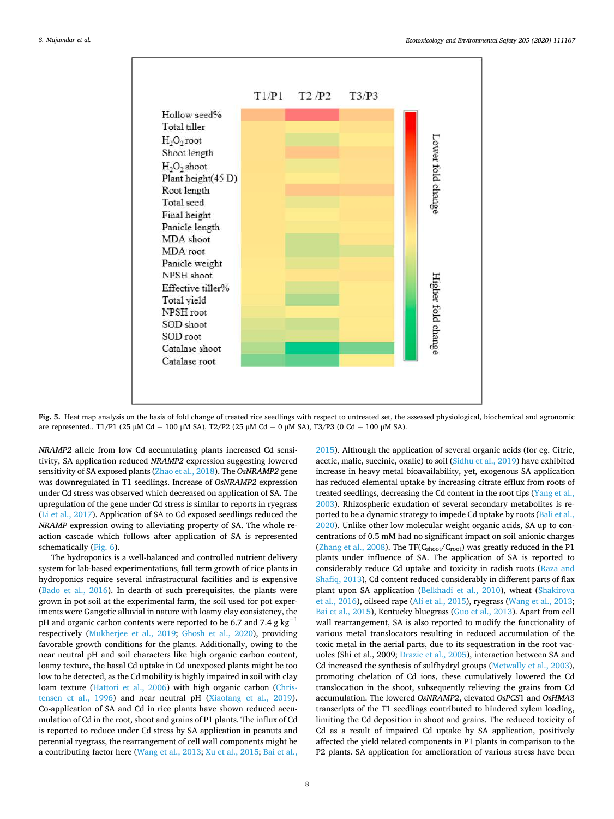<span id="page-7-0"></span>

**Fig. 5.** Heat map analysis on the basis of fold change of treated rice seedlings with respect to untreated set, the assessed physiological, biochemical and agronomic are represented.. T1/P1 (25 μM Cd + 100 μM SA), T2/P2 (25 μM Cd + 0 μM SA), T3/P3 (0 Cd + 100 μM SA).

*NRAMP2* allele from low Cd accumulating plants increased Cd sensitivity, SA application reduced *NRAMP2* expression suggesting lowered sensitivity of SA exposed plants ([Zhao et al., 2018](#page-11-0)). The *OsNRAMP2* gene was downregulated in T1 seedlings. Increase of *OsNRAMP2* expression under Cd stress was observed which decreased on application of SA. The upregulation of the gene under Cd stress is similar to reports in ryegrass ([Li et al., 2017](#page-10-0)). Application of SA to Cd exposed seedlings reduced the *NRAMP* expression owing to alleviating property of SA. The whole reaction cascade which follows after application of SA is represented schematically [\(Fig. 6](#page-8-0)).

The hydroponics is a well-balanced and controlled nutrient delivery system for lab-based experimentations, full term growth of rice plants in hydroponics require several infrastructural facilities and is expensive ([Bado et al., 2016\)](#page-9-0). In dearth of such prerequisites, the plants were grown in pot soil at the experimental farm, the soil used for pot experiments were Gangetic alluvial in nature with loamy clay consistency, the pH and organic carbon contents were reported to be 6.7 and 7.4 g  $kg^{-1}$ respectively [\(Mukherjee et al., 2019;](#page-10-0) [Ghosh et al., 2020\)](#page-9-0), providing favorable growth conditions for the plants. Additionally, owing to the near neutral pH and soil characters like high organic carbon content, loamy texture, the basal Cd uptake in Cd unexposed plants might be too low to be detected, as the Cd mobility is highly impaired in soil with clay loam texture [\(Hattori et al., 2006\)](#page-10-0) with high organic carbon ([Chris](#page-9-0)[tensen et al., 1996\)](#page-9-0) and near neutral pH ([Xiaofang et al., 2019](#page-11-0)). Co-application of SA and Cd in rice plants have shown reduced accumulation of Cd in the root, shoot and grains of P1 plants. The influx of Cd is reported to reduce under Cd stress by SA application in peanuts and perennial ryegrass, the rearrangement of cell wall components might be a contributing factor here ([Wang et al., 2013](#page-11-0); [Xu et al., 2015](#page-11-0); [Bai et al.,](#page-9-0) 

[2015\)](#page-9-0). Although the application of several organic acids (for eg. Citric, acetic, malic, succinic, oxalic) to soil [\(Sidhu et al., 2019](#page-11-0)) have exhibited increase in heavy metal bioavailability, yet, exogenous SA application has reduced elemental uptake by increasing citrate efflux from roots of treated seedlings, decreasing the Cd content in the root tips ([Yang et al.,](#page-11-0)  [2003\)](#page-11-0). Rhizospheric exudation of several secondary metabolites is reported to be a dynamic strategy to impede Cd uptake by roots [\(Bali et al.,](#page-9-0)  [2020\)](#page-9-0). Unlike other low molecular weight organic acids, SA up to concentrations of 0.5 mM had no significant impact on soil anionic charges ([Zhang et al., 2008\)](#page-11-0). The TF( $C<sub>shoot</sub>/C<sub>root</sub>$ ) was greatly reduced in the P1 plants under influence of SA. The application of SA is reported to considerably reduce Cd uptake and toxicity in radish roots ([Raza and](#page-11-0)  [Shafiq, 2013\)](#page-11-0), Cd content reduced considerably in different parts of flax plant upon SA application ([Belkhadi et al., 2010\)](#page-9-0), wheat [\(Shakirova](#page-11-0)  [et al., 2016](#page-11-0)), oilseed rape ([Ali et al., 2015](#page-9-0)), ryegrass ([Wang et al., 2013](#page-11-0); [Bai et al., 2015\)](#page-9-0), Kentucky bluegrass ([Guo et al., 2013](#page-10-0)). Apart from cell wall rearrangement, SA is also reported to modify the functionality of various metal translocators resulting in reduced accumulation of the toxic metal in the aerial parts, due to its sequestration in the root vacuoles (Shi et al., 2009; [Drazic et al., 2005\)](#page-9-0), interaction between SA and Cd increased the synthesis of sulfhydryl groups [\(Metwally et al., 2003](#page-10-0)), promoting chelation of Cd ions, these cumulatively lowered the Cd translocation in the shoot, subsequently relieving the grains from Cd accumulation. The lowered *OsNRAMP*2, elevated *OsPCS*1 and *OsHMA*3 transcripts of the T1 seedlings contributed to hindered xylem loading, limiting the Cd deposition in shoot and grains. The reduced toxicity of Cd as a result of impaired Cd uptake by SA application, positively affected the yield related components in P1 plants in comparison to the P2 plants. SA application for amelioration of various stress have been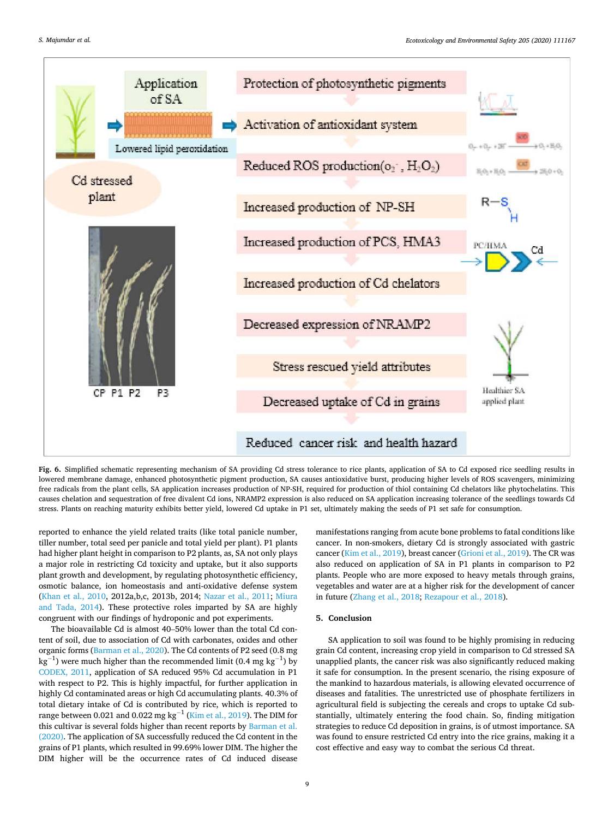<span id="page-8-0"></span>

**Fig. 6.** Simplified schematic representing mechanism of SA providing Cd stress tolerance to rice plants, application of SA to Cd exposed rice seedling results in lowered membrane damage, enhanced photosynthetic pigment production, SA causes antioxidative burst, producing higher levels of ROS scavengers, minimizing free radicals from the plant cells, SA application increases production of NP-SH, required for production of thiol containing Cd chelators like phytochelatins. This causes chelation and sequestration of free divalent Cd ions, NRAMP2 expression is also reduced on SA application increasing tolerance of the seedlings towards Cd stress. Plants on reaching maturity exhibits better yield, lowered Cd uptake in P1 set, ultimately making the seeds of P1 set safe for consumption.

reported to enhance the yield related traits (like total panicle number, tiller number, total seed per panicle and total yield per plant). P1 plants had higher plant height in comparison to P2 plants, as, SA not only plays a major role in restricting Cd toxicity and uptake, but it also supports plant growth and development, by regulating photosynthetic efficiency, osmotic balance, ion homeostasis and anti-oxidative defense system ([Khan et al., 2010,](#page-10-0) 2012a,b,c, 2013b, 2014; [Nazar et al., 2011](#page-10-0); [Miura](#page-10-0)  [and Tada, 2014](#page-10-0)). These protective roles imparted by SA are highly congruent with our findings of hydroponic and pot experiments.

The bioavailable Cd is almost 40–50% lower than the total Cd content of soil, due to association of Cd with carbonates, oxides and other organic forms ([Barman et al., 2020](#page-9-0)). The Cd contents of P2 seed (0.8 mg  $\text{kg}^{-1}$ ) were much higher than the recommended limit (0.4 mg kg<sup>-1</sup>) by [CODEX, 2011,](#page-9-0) application of SA reduced 95% Cd accumulation in P1 with respect to P2. This is highly impactful, for further application in highly Cd contaminated areas or high Cd accumulating plants. 40.3% of total dietary intake of Cd is contributed by rice, which is reported to range between 0.021 and 0.022 mg kg<sup>-1</sup> ([Kim et al., 2019](#page-10-0)). The DIM for this cultivar is several folds higher than recent reports by Barman et al. [\(2020\).](#page-9-0) The application of SA successfully reduced the Cd content in the grains of P1 plants, which resulted in 99.69% lower DIM. The higher the DIM higher will be the occurrence rates of Cd induced disease

manifestations ranging from acute bone problems to fatal conditions like cancer. In non-smokers, dietary Cd is strongly associated with gastric cancer [\(Kim et al., 2019](#page-10-0)), breast cancer [\(Grioni et al., 2019](#page-10-0)). The CR was also reduced on application of SA in P1 plants in comparison to P2 plants. People who are more exposed to heavy metals through grains, vegetables and water are at a higher risk for the development of cancer in future ([Zhang et al., 2018](#page-11-0); [Rezapour et al., 2018\)](#page-11-0).

## **5. Conclusion**

SA application to soil was found to be highly promising in reducing grain Cd content, increasing crop yield in comparison to Cd stressed SA unapplied plants, the cancer risk was also significantly reduced making it safe for consumption. In the present scenario, the rising exposure of the mankind to hazardous materials, is allowing elevated occurrence of diseases and fatalities. The unrestricted use of phosphate fertilizers in agricultural field is subjecting the cereals and crops to uptake Cd substantially, ultimately entering the food chain. So, finding mitigation strategies to reduce Cd deposition in grains, is of utmost importance. SA was found to ensure restricted Cd entry into the rice grains, making it a cost effective and easy way to combat the serious Cd threat.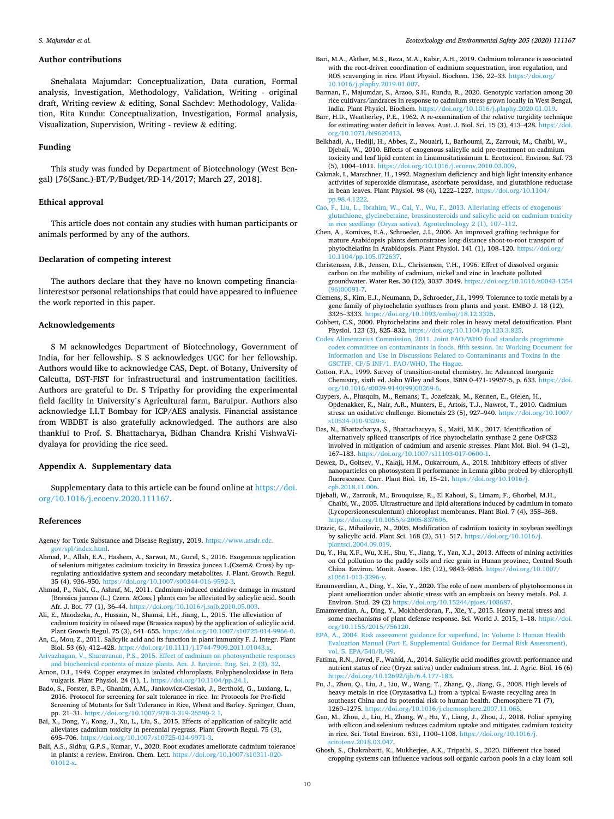#### <span id="page-9-0"></span>**Author contributions**

Snehalata Majumdar: Conceptualization, Data curation, Formal analysis, Investigation, Methodology, Validation, Writing - original draft, Writing-review & editing, Sonal Sachdev: Methodology, Validation, Rita Kundu: Conceptualization, Investigation, Formal analysis, Visualization, Supervision, Writing - review & editing.

#### **Funding**

This study was funded by Department of Biotechnology (West Bengal) [76(Sanc.)-BT/P/Budget/RD-14/2017; March 27, 2018].

## **Ethical approval**

This article does not contain any studies with human participants or animals performed by any of the authors.

## **Declaration of competing interest**

The authors declare that they have no known competing financialinterestsor personal relationships that could have appeared to influence the work reported in this paper.

## **Acknowledgements**

S M acknowledges Department of Biotechnology, Government of India, for her fellowship. S S acknowledges UGC for her fellowship. Authors would like to acknowledge CAS, Dept. of Botany, University of Calcutta, DST-FIST for infrastructural and instrumentation facilities. Authors are grateful to Dr. S Tripathy for providing the experimental field facility in University's Agricultural farm, Baruipur. Authors also acknowledge I.I.T Bombay for ICP/AES analysis. Financial assistance from WBDBT is also gratefully acknowledged. The authors are also thankful to Prof. S. Bhattacharya, Bidhan Chandra Krishi VishwaVidyalaya for providing the rice seed.

## **Appendix A. Supplementary data**

Supplementary data to this article can be found online at [https://doi.](https://doi.org/10.1016/j.ecoenv.2020.111167)  [org/10.1016/j.ecoenv.2020.111167.](https://doi.org/10.1016/j.ecoenv.2020.111167)

## **References**

- Agency for Toxic Substance and Disease Registry, 2019. [https://www.atsdr.cdc.](https://www.atsdr.cdc.gov/spl/index.html) [gov/spl/index.html](https://www.atsdr.cdc.gov/spl/index.html).
- Ahmad, P., Allah, E.A., Hashem, A., Sarwat, M., Gucel, S., 2016. Exogenous application of selenium mitigates cadmium toxicity in Brassica juncea L.(Czern& Cross) by upregulating antioxidative system and secondary metabolites. J. Plant. Growth. Regul. 35 (4), 936–950. [https://doi.org/10.1007/s00344-016-9592-3.](https://doi.org/10.1007/s00344-016-9592-3)
- Ahmad, P., Nabi, G., Ashraf, M., 2011. Cadmium-induced oxidative damage in mustard [Brassica juncea (L.) Czern. &Coss.] plants can be alleviated by salicylic acid. South Afr. J. Bot. 77 (1), 36–44. <https://doi.org/10.1016/j.sajb.2010.05.003>.
- Ali, E., Maodzeka, A., Hussain, N., Shamsi, I.H., Jiang, L., 2015. The alleviation of cadmium toxicity in oilseed rape (Brassica napus) by the application of salicylic acid. Plant Growth Regul. 75 (3), 641–655. [https://doi.org/10.1007/s10725-014-9966-0.](https://doi.org/10.1007/s10725-014-9966-0)
- An, C., Mou, Z., 2011. Salicylic acid and its function in plant immunity F. J. Integr. Plant Biol. 53 (6), 412–428. [https://doi.org/10.1111/j.1744-7909.2011.01043.x.](https://doi.org/10.1111/j.1744-7909.2011.01043.x) [Arivazhagan, V., Sharavanan, P.S., 2015. Effect of cadmium on photosynthetic responses](http://refhub.elsevier.com/S0147-6513(20)31006-X/sref8)
- [and biochemical contents of maize plants. Am. J. Environ. Eng. Sci. 2 \(3\), 32](http://refhub.elsevier.com/S0147-6513(20)31006-X/sref8).
- Arnon, D.I., 1949. Copper enzymes in isolated chloroplasts. Polyphenoloxidase in Beta vulgaris. Plant Physiol. 24 (1), 1. <https://doi.org/10.1104/pp.24.1>.
- Bado, S., Forster, B.P., Ghanim, A.M., Jankowicz-Cieslak, J., Berthold, G., Luxiang, L., 2016. Protocol for screening for salt tolerance in rice. In: Protocols for Pre-field Screening of Mutants for Salt Tolerance in Rice, Wheat and Barley. Springer, Cham, pp. 21–31. [https://doi.org/10.1007/978-3-319-26590-2\\_1](https://doi.org/10.1007/978-3-319-26590-2_1).
- Bai, X., Dong, Y., Kong, J., Xu, L., Liu, S., 2015. Effects of application of salicylic acid alleviates cadmium toxicity in perennial ryegrass. Plant Growth Regul. 75 (3), 695–706. <https://doi.org/10.1007/s10725-014-9971-3>.
- Bali, A.S., Sidhu, G.P.S., Kumar, V., 2020. Root exudates ameliorate cadmium tolerance in plants: a review. Environ. Chem. Lett. [https://doi.org/10.1007/s10311-020-](https://doi.org/10.1007/s10311-020-01012-x)  [01012-x.](https://doi.org/10.1007/s10311-020-01012-x)
- Bari, M.A., Akther, M.S., Reza, M.A., Kabir, A.H., 2019. Cadmium tolerance is associated with the root-driven coordination of cadmium sequestration, iron regulation, and ROS scavenging in rice. Plant Physiol. Biochem. 136, 22–33. [https://doi.org/](https://doi.org/10.1016/j.plaphy.2019.01.007) [10.1016/j.plaphy.2019.01.007.](https://doi.org/10.1016/j.plaphy.2019.01.007)
- Barman, F., Majumdar, S., Arzoo, S.H., Kundu, R., 2020. Genotypic variation among 20 rice cultivars/landraces in response to cadmium stress grown locally in West Bengal, India. Plant Physiol. Biochem. [https://doi.org/10.1016/j.plaphy.2020.01.019.](https://doi.org/10.1016/j.plaphy.2020.01.019)
- Barr, H.D., Weatherley, P.E., 1962. A re-examination of the relative turgidity technique for estimating water deficit in leaves. Aust. J. Biol. Sci. 15 (3), 413–428. [https://doi.](https://doi.org/10.1071/bi9620413)  [org/10.1071/bi9620413](https://doi.org/10.1071/bi9620413).
- Belkhadi, A., Hediji, H., Abbes, Z., Nouairi, I., Barhoumi, Z., Zarrouk, M., Chaïbi, W., Djebali, W., 2010. Effects of exogenous salicylic acid pre-treatment on cadmium toxicity and leaf lipid content in Linumusitatissimum L. Ecotoxicol. Environ. Saf. 73 (5), 1004–1011. <https://doi.org/10.1016/j.ecoenv.2010.03.009>.
- Cakmak, I., Marschner, H., 1992. Magnesium deficiency and high light intensity enhance activities of superoxide dismutase, ascorbate peroxidase, and glutathione reductase in bean leaves. Plant Physiol. 98 (4), 1222–1227. [https://doi.org/10.1104/](https://doi.org/10.1104/pp.98.4.1222) [pp.98.4.1222](https://doi.org/10.1104/pp.98.4.1222).
- [Cao, F., Liu, L., Ibrahim, W., Cai, Y., Wu, F., 2013. Alleviating effects of exogenous](http://refhub.elsevier.com/S0147-6513(20)31006-X/sref18) [glutathione, glycinebetaine, brassinosteroids and salicylic acid on cadmium toxicity](http://refhub.elsevier.com/S0147-6513(20)31006-X/sref18)  [in rice seedlings \(Oryza sativa\). Agrotechnology 2 \(1\), 107](http://refhub.elsevier.com/S0147-6513(20)31006-X/sref18)–112.
- Chen, A., Komives, E.A., Schroeder, J.I., 2006. An improved grafting technique for mature Arabidopsis plants demonstrates long-distance shoot-to-root transport of phytochelatins in Arabidopsis. Plant Physiol. 141 (1), 108–120. [https://doi.org/](https://doi.org/10.1104/pp.105.072637) [10.1104/pp.105.072637](https://doi.org/10.1104/pp.105.072637).
- Christensen, J.B., Jensen, D.L., Christensen, T.H., 1996. Effect of dissolved organic carbon on the mobility of cadmium, nickel and zinc in leachate polluted groundwater. Water Res. 30 (12), 3037–3049. [https://doi.org/10.1016/s0043-1354](https://doi.org/10.1016/s0043-1354(96)00091-7)  -<br>[\(96\)00091-7](https://doi.org/10.1016/s0043-1354(96)00091-7)
- Clemens, S., Kim, E.J., Neumann, D., Schroeder, J.I., 1999. Tolerance to toxic metals by a gene family of phytochelatin synthases from plants and yeast. EMBO J. 18 (12), 3325–3333. [https://doi.org/10.1093/emboj/18.12.3325.](https://doi.org/10.1093/emboj/18.12.3325)
- Cobbett, C.S., 2000. Phytochelatins and their roles in heavy metal detoxification. Plant Physiol. 123 (3), 825–832. <https://doi.org/10.1104/pp.123.3.825>.
- [Codex Alimentarius Commission, 2011. Joint FAO/WHO food standards programme](http://refhub.elsevier.com/S0147-6513(20)31006-X/sref27)  [codex committee on contaminants in foods. fifth session. In: Working Document for](http://refhub.elsevier.com/S0147-6513(20)31006-X/sref27)  [Information and Use in Discussions Related to Contaminants and Toxins in the](http://refhub.elsevier.com/S0147-6513(20)31006-X/sref27) [GSCTFF, CF/5 INF/1. FAO/WHO, The Hague.](http://refhub.elsevier.com/S0147-6513(20)31006-X/sref27)
- Cotton, F.A., 1999. Survey of transition-metal chemistry. In: Advanced Inorganic Chemistry, sixth ed. John Wiley and Sons, ISBN 0-471-19957-5, p. 633. [https://doi.](https://doi.org/10.1016/s0039-9140(99)00269-6)  [org/10.1016/s0039-9140\(99\)00269-6](https://doi.org/10.1016/s0039-9140(99)00269-6).
- Cuypers, A., Plusquin, M., Remans, T., Jozefczak, M., Keunen, E., Gielen, H., Opdenakker, K., Nair, A.R., Munters, E., Artois, T.J., Nawrot, T., 2010. Cadmium stress: an oxidative challenge. Biometals 23 (5), 927–940. [https://doi.org/10.1007/](https://doi.org/10.1007/s10534-010-9329-x)  [s10534-010-9329-x.](https://doi.org/10.1007/s10534-010-9329-x)
- Das, N., Bhattacharya, S., Bhattacharyya, S., Maiti, M.K., 2017. Identification of alternatively spliced transcripts of rice phytochelatin synthase 2 gene OsPCS2 involved in mitigation of cadmium and arsenic stresses. Plant Mol. Biol. 94 (1–2), 167–183. <https://doi.org/10.1007/s11103-017-0600-1>.
- Dewez, D., Goltsev, V., Kalaji, H.M., Oukarroum, A., 2018. Inhibitory effects of silver nanoparticles on photosystem II performance in Lemna gibba probed by chlorophyll fluorescence. Curr. Plant Biol. 16, 15–21. [https://doi.org/10.1016/j.](https://doi.org/10.1016/j.cpb.2018.11.006)  [cpb.2018.11.006](https://doi.org/10.1016/j.cpb.2018.11.006).
- Djebali, W., Zarrouk, M., Brouquisse, R., El Kahoui, S., Limam, F., Ghorbel, M.H., Chaïbi, W., 2005. Ultrastructure and lipid alterations induced by cadmium in tomato (Lycopersiconesculentum) chloroplast membranes. Plant Biol. 7 (4), 358–368. [https://doi.org/10.1055/s-2005-837696.](https://doi.org/10.1055/s-2005-837696)
- Drazic, G., Mihailovic, N., 2005. Modification of cadmium toxicity in soybean seedlings by salicylic acid. Plant Sci. 168 (2), 511–517. [https://doi.org/10.1016/j.](https://doi.org/10.1016/j.plantsci.2004.09.019) [plantsci.2004.09.019](https://doi.org/10.1016/j.plantsci.2004.09.019).
- Du, Y., Hu, X.F., Wu, X.H., Shu, Y., Jiang, Y., Yan, X.J., 2013. Affects of mining activities on Cd pollution to the paddy soils and rice grain in Hunan province, Central South China. Environ. Monit. Assess. 185 (12), 9843–9856. [https://doi.org/10.1007/](https://doi.org/10.1007/s10661-013-3296-y)  [s10661-013-3296-y.](https://doi.org/10.1007/s10661-013-3296-y)
- Emamverdian, A., Ding, Y., Xie, Y., 2020. The role of new members of phytohormones in plant amelioration under abiotic stress with an emphasis on heavy metals. Pol. J. Environ. Stud. 29 (2) [https://doi.org/10.15244/pjoes/108687.](https://doi.org/10.15244/pjoes/108687)
- Emamverdian, A., Ding, Y., Mokhberdoran, F., Xie, Y., 2015. Heavy metal stress and some mechanisms of plant defense response. Sci. World J. 2015, 1-18. [https://doi.](https://doi.org/10.1155/2015/756120) [org/10.1155/2015/756120](https://doi.org/10.1155/2015/756120).
- [EPA, A., 2004. Risk assessment guidance for superfund. In: Volume I: Human Health](http://refhub.elsevier.com/S0147-6513(20)31006-X/sref37)  [Evaluation Manual \(Part E, Supplemental Guidance for Dermal Risk Assessment\),](http://refhub.elsevier.com/S0147-6513(20)31006-X/sref37) [vol. 5. EPA/540/R/99.](http://refhub.elsevier.com/S0147-6513(20)31006-X/sref37)
- Fatima, R.N., Javed, F., Wahid, A., 2014. Salicylic acid modifies growth performance and nutrient status of rice (Oryza sativa) under cadmium stress. Int. J. Agric. Biol. 16 (6) [https://doi.org/10.12692/ijb/6.4.177-183.](https://doi.org/10.12692/ijb/6.4.177-183)
- Fu, J., Zhou, Q., Liu, J., Liu, W., Wang, T., Zhang, Q., Jiang, G., 2008. High levels of heavy metals in rice (Oryzasativa L.) from a typical E-waste recycling area in southeast China and its potential risk to human health. Chemosphere 71 (7), 1269–1275. [https://doi.org/10.1016/j.chemosphere.2007.11.065.](https://doi.org/10.1016/j.chemosphere.2007.11.065)
- Gao, M., Zhou, J., Liu, H., Zhang, W., Hu, Y., Liang, J., Zhou, J., 2018. Foliar spraying with silicon and selenium reduces cadmium uptake and mitigates cadmium toxicity in rice. Sci. Total Environ. 631, 1100–1108. [https://doi.org/10.1016/j.](https://doi.org/10.1016/j.scitotenv.2018.03.047)  [scitotenv.2018.03.047.](https://doi.org/10.1016/j.scitotenv.2018.03.047)
- Ghosh, S., Chakrabarti, K., Mukherjee, A.K., Tripathi, S., 2020. Different rice based cropping systems can influence various soil organic carbon pools in a clay loam soil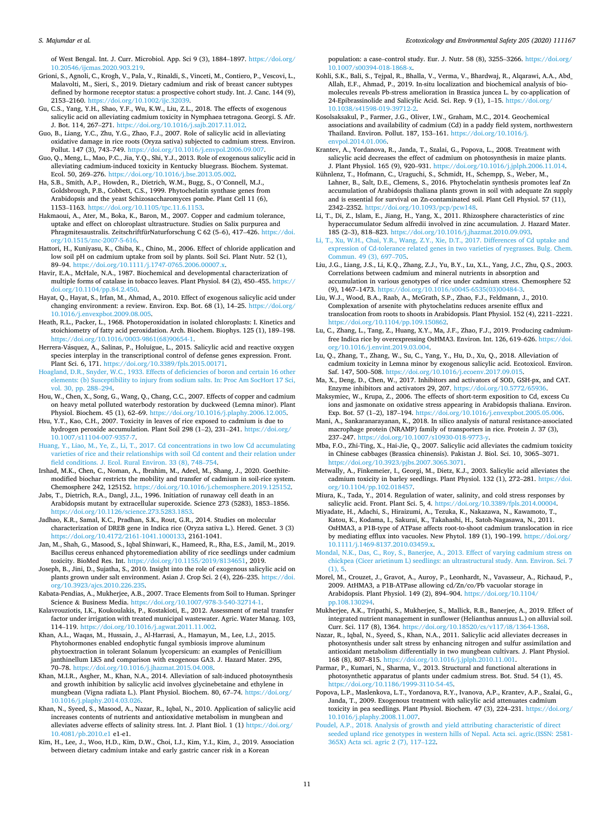#### <span id="page-10-0"></span>*S. Majumdar et al.*

of West Bengal. Int. J. Curr. Microbiol. App. Sci 9 (3), 1884–1897. [https://doi.org/](https://doi.org/10.20546/ijcmas.2020.903.219)  [10.20546/ijcmas.2020.903.219.](https://doi.org/10.20546/ijcmas.2020.903.219)

- Grioni, S., Agnoli, C., Krogh, V., Pala, V., Rinaldi, S., Vinceti, M., Contiero, P., Vescovi, L., Malavolti, M., Sieri, S., 2019. Dietary cadmium and risk of breast cancer subtypes defined by hormone receptor status: a prospective cohort study. Int. J. Canc. 144 (9), 2153–2160. [https://doi.org/10.1002/ijc.32039.](https://doi.org/10.1002/ijc.32039)
- Gu, C.S., Yang, Y.H., Shao, Y.F., Wu, K.W., Liu, Z.L., 2018. The effects of exogenous salicylic acid on alleviating cadmium toxicity in Nymphaea tetragona. Georgi. S. Afr. J. Bot. 114, 267–271. [https://doi.org/10.1016/j.sajb.2017.11.012.](https://doi.org/10.1016/j.sajb.2017.11.012)
- Guo, B., Liang, Y.C., Zhu, Y.G., Zhao, F.J., 2007. Role of salicylic acid in alleviating oxidative damage in rice roots (Oryza sativa) subjected to cadmium stress. Environ. Pollut. 147 (3), 743–749. <https://doi.org/10.1016/j.envpol.2006.09.007>.
- Guo, Q., Meng, L., Mao, P.C., Jia, Y.Q., Shi, Y.J., 2013. Role of exogenous salicylic acid in alleviating cadmium-induced toxicity in Kentucky bluegrass. Biochem. Systemat. Ecol. 50, 269–276. [https://doi.org/10.1016/j.bse.2013.05.002.](https://doi.org/10.1016/j.bse.2013.05.002)
- Ha, S.B., Smith, A.P., Howden, R., Dietrich, W.M., Bugg, S., O'Connell, M.J., Goldsbrough, P.B., Cobbett, C.S., 1999. Phytochelatin synthase genes from Arabidopsis and the yeast Schizosaccharomyces pombe. Plant Cell 11 (6), 1153–1163.<https://doi.org/10.1105/tpc.11.6.1153>.
- Hakmaoui, A., Ater, M., Boka, K., Baron, M., 2007. Copper and cadmium tolerance, uptake and effect on chloroplast ultrastructure. Studies on Salix purpurea and Phragmitesaustralis. ZeitschriftfürNaturforschung C 62 (5–6), 417–426. [https://doi.](https://doi.org/10.1515/znc-2007-5-616)  [org/10.1515/znc-2007-5-616.](https://doi.org/10.1515/znc-2007-5-616)
- Hattori, H., Kuniyasu, K., Chiba, K., Chino, M., 2006. Effect of chloride application and low soil pH on cadmium uptake from soil by plants. Soil Sci. Plant Nutr. 52 (1), 89–94. <https://doi.org/10.1111/j.1747-0765.2006.00007.x>.
- Havir, E.A., McHale, N.A., 1987. Biochemical and developmental characterization of multiple forms of catalase in tobacco leaves. Plant Physiol. 84 (2), 450–455. [https://](https://doi.org/10.1104/pp.84.2.450)  [doi.org/10.1104/pp.84.2.450](https://doi.org/10.1104/pp.84.2.450).
- Hayat, Q., Hayat, S., Irfan, M., Ahmad, A., 2010. Effect of exogenous salicylic acid under changing environment: a review. Environ. Exp. Bot. 68 (1), 14–25. [https://doi.org/](https://doi.org/10.1016/j.envexpbot.2009.08.005)  [10.1016/j.envexpbot.2009.08.005.](https://doi.org/10.1016/j.envexpbot.2009.08.005)
- Heath, R.L., Packer, L., 1968. Photoperoxidation in isolated chloroplasts: I. Kinetics and stoichiometry of fatty acid peroxidation. Arch. Biochem. Biophys. 125 (1), 189–198. [https://doi.org/10.1016/0003-9861\(68\)90654-1.](https://doi.org/10.1016/0003-9861(68)90654-1)
- Herrera-Vásquez, A., Salinas, P., Holuigue, L., 2015. Salicylic acid and reactive oxygen species interplay in the transcriptional control of defense genes expression. Front. Plant Sci. 6, 171. <https://doi.org/10.3389/fpls.2015.00171>.
- [Hoagland, D.R., Snyder, W.C., 1933. Effects of deficiencies of boron and certain 16 other](http://refhub.elsevier.com/S0147-6513(20)31006-X/sref56)  [elements: \(b\) Susceptibility to injury from sodium salts. In: Proc Am SocHort 17 Sci,](http://refhub.elsevier.com/S0147-6513(20)31006-X/sref56)  [vol. 30, pp. 288](http://refhub.elsevier.com/S0147-6513(20)31006-X/sref56)–294.
- Hou, W., Chen, X., Song, G., Wang, Q., Chang, C.C., 2007. Effects of copper and cadmium on heavy metal polluted waterbody restoration by duckweed (Lemna minor). Plant Physiol. Biochem. 45 (1), 62–69. [https://doi.org/10.1016/j.plaphy.2006.12.005.](https://doi.org/10.1016/j.plaphy.2006.12.005)
- Hsu, Y.T., Kao, C.H., 2007. Toxicity in leaves of rice exposed to cadmium is due to hydrogen peroxide accumulation. Plant Soil 298 (1–2), 231–241. [https://doi.org/](https://doi.org/10.1007/s11104-007-9357-7)  [10.1007/s11104-007-9357-7](https://doi.org/10.1007/s11104-007-9357-7).
- [Huang, Y., Liao, M., Ye, Z., Li, T., 2017. Cd concentrations in two low Cd accumulating](http://refhub.elsevier.com/S0147-6513(20)31006-X/sref59)  [varieties of rice and their relationships with soil Cd content and their relation under](http://refhub.elsevier.com/S0147-6513(20)31006-X/sref59)  [field conditions. J. Ecol. Rural Environ. 33 \(8\), 748](http://refhub.elsevier.com/S0147-6513(20)31006-X/sref59)–754.
- Irshad, M.K., Chen, C., Noman, A., Ibrahim, M., Adeel, M., Shang, J., 2020. Goethitemodified biochar restricts the mobility and transfer of cadmium in soil-rice system. Chemosphere 242, 125152. <https://doi.org/10.1016/j.chemosphere.2019.125152>.
- Jabs, T., Dietrich, R.A., Dangl, J.L., 1996. Initiation of runaway cell death in an Arabidopsis mutant by extracellular superoxide. Science 273 (5283), 1853–1856. <https://doi.org/10.1126/science.273.5283.1853>.
- Jadhao, K.R., Samal, K.C., Pradhan, S.K., Rout, G.R., 2014. Studies on molecular characterization of DREB gene in Indica rice (Oryza sativa L.). Hered. Genet. 3 (3) <https://doi.org/10.4172/2161-1041.1000133>, 2161-1041.
- Jan, M., Shah, G., Masood, S., Iqbal Shinwari, K., Hameed, R., Rha, E.S., Jamil, M., 2019. Bacillus cereus enhanced phytoremediation ability of rice seedlings under cadmium toxicity. BioMed Res. Int. <https://doi.org/10.1155/2019/8134651>, 2019.
- Joseph, B., Jini, D., Sujatha, S., 2010. Insight into the role of exogenous salicylic acid on plants grown under salt environment. Asian J. Crop Sci. 2 (4), 226–235. [https://doi.](https://doi.org/10.3923/ajcs.2010.226.235)  [org/10.3923/ajcs.2010.226.235](https://doi.org/10.3923/ajcs.2010.226.235).
- Kabata-Pendias, A., Mukherjee, A.B., 2007. Trace Elements from Soil to Human. Springer Science & Business Media. [https://doi.org/10.1007/978-3-540-32714-1.](https://doi.org/10.1007/978-3-540-32714-1)
- Kalavrouziotis, I.K., Koukoulakis, P., Kostakioti, E., 2012. Assessment of metal transfer factor under irrigation with treated municipal wastewater. Agric. Water Manag. 103, 114–119. <https://doi.org/10.1016/j.agwat.2011.11.002>.
- Khan, A.L., Waqas, M., Hussain, J., Al-Harrasi, A., Hamayun, M., Lee, I.J., 2015. Phytohormones enabled endophytic fungal symbiosis improve aluminum phytoextraction in tolerant Solanum lycopersicum: an examples of Penicillium janthinellum LK5 and comparison with exogenous GA3. J. Hazard Mater. 295, 70–78. [https://doi.org/10.1016/j.jhazmat.2015.04.008.](https://doi.org/10.1016/j.jhazmat.2015.04.008)
- Khan, M.I.R., Asgher, M., Khan, N.A., 2014. Alleviation of salt-induced photosynthesis and growth inhibition by salicylic acid involves glycinebetaine and ethylene in mungbean (Vigna radiata L.). Plant Physiol. Biochem. 80, 67–74. [https://doi.org/](https://doi.org/10.1016/j.plaphy.2014.03.026) [10.1016/j.plaphy.2014.03.026.](https://doi.org/10.1016/j.plaphy.2014.03.026)
- Khan, N., Syeed, S., Masood, A., Nazar, R., Iqbal, N., 2010. Application of salicylic acid increases contents of nutrients and antioxidative metabolism in mungbean and alleviates adverse effects of salinity stress. Int. J. Plant Biol. 1 (1) [https://doi.org/](https://doi.org/10.4081/pb.2010.e1) [10.4081/pb.2010.e1](https://doi.org/10.4081/pb.2010.e1) e1-e1.
- Kim, H., Lee, J., Woo, H.D., Kim, D.W., Choi, I.J., Kim, Y.I., Kim, J., 2019. Association between dietary cadmium intake and early gastric cancer risk in a Korean

population: a case–control study. Eur. J. Nutr. 58 (8), 3255–3266. [https://doi.org/](https://doi.org/10.1007/s00394-018-1868-x)  $10.1007$ /s00394-018-1868- $\overline{a}$ 

- Kohli, S.K., Bali, S., Tejpal, R., Bhalla, V., Verma, V., Bhardwaj, R., Alqarawi, A.A., Abd\_ Allah, E.F., Ahmad, P., 2019. In-situ localization and biochemical analysis of biomolecules reveals Pb-stress amelioration in Brassica juncea L. by co-application of 24-Epibrassinolide and Salicylic Acid. Sci. Rep. 9 (1), 1–15. [https://doi.org/](https://doi.org/10.1038/s41598-019-39712-2) [10.1038/s41598-019-39712-2.](https://doi.org/10.1038/s41598-019-39712-2)
- Kosolsaksakul, P., Farmer, J.G., Oliver, I.W., Graham, M.C., 2014. Geochemical associations and availability of cadmium (Cd) in a paddy field system, northwestern Thailand. Environ. Pollut. 187, 153–161. [https://doi.org/10.1016/j.](https://doi.org/10.1016/j.envpol.2014.01.006)  [envpol.2014.01.006](https://doi.org/10.1016/j.envpol.2014.01.006).
- Krantev, A., Yordanova, R., Janda, T., Szalai, G., Popova, L., 2008. Treatment with salicylic acid decreases the effect of cadmium on photosynthesis in maize plants. J. Plant Physiol. 165 (9), 920–931. <https://doi.org/10.1016/j.jplph.2006.11.014>.
- Kühnlenz, T., Hofmann, C., Uraguchi, S., Schmidt, H., Schempp, S., Weber, M., Lahner, B., Salt, D.E., Clemens, S., 2016. Phytochelatin synthesis promotes leaf Zn accumulation of Arabidopsis thaliana plants grown in soil with adequate Zn supply and is essential for survival on Zn-contaminated soil. Plant Cell Physiol. 57 (11), 2342–2352. [https://doi.org/10.1093/pcp/pcw148.](https://doi.org/10.1093/pcp/pcw148)
- Li, T., Di, Z., Islam, E., Jiang, H., Yang, X., 2011. Rhizosphere characteristics of zinc hyperaccumulator Sedum alfredii involved in zinc accumulation. J. Hazard Mater. 185 (2–3), 818–823. [https://doi.org/10.1016/j.jhazmat.2010.09.093.](https://doi.org/10.1016/j.jhazmat.2010.09.093)
- [Li, T., Xu, W.H., Chai, Y.R., Wang, Z.Y., Xie, D.T., 2017. Differences of Cd uptake and](http://refhub.elsevier.com/S0147-6513(20)31006-X/sref85) [expression of Cd-tolerance related genes in two varieties of ryegrasses. Bulg. Chem.](http://refhub.elsevier.com/S0147-6513(20)31006-X/sref85)  [Commun. 49 \(3\), 697](http://refhub.elsevier.com/S0147-6513(20)31006-X/sref85)–705.
- Liu, J.G., Liang, J.S., Li, K.Q., Zhang, Z.J., Yu, B.Y., Lu, X.L., Yang, J.C., Zhu, Q.S., 2003. Correlations between cadmium and mineral nutrients in absorption and accumulation in various genotypes of rice under cadmium stress. Chemosphere 52 (9), 1467–1473. [https://doi.org/10.1016/s0045-6535\(03\)00484-3](https://doi.org/10.1016/s0045-6535(03)00484-3).
- Liu, W.J., Wood, B.A., Raab, A., McGrath, S.P., Zhao, F.J., Feldmann, J., 2010. Complexation of arsenite with phytochelatins reduces arsenite efflux and translocation from roots to shoots in Arabidopsis. Plant Physiol. 152 (4), 2211–2221. <https://doi.org/10.1104/pp.109.150862>.
- Lu, C., Zhang, L., Tang, Z., Huang, X.Y., Ma, J.F., Zhao, F.J., 2019. Producing cadmiumfree Indica rice by overexpressing OsHMA3. Environ. Int. 126, 619–626. [https://doi.](https://doi.org/10.1016/j.envint.2019.03.004)  [org/10.1016/j.envint.2019.03.004.](https://doi.org/10.1016/j.envint.2019.03.004)
- Lu, Q., Zhang, T., Zhang, W., Su, C., Yang, Y., Hu, D., Xu, Q., 2018. Alleviation of cadmium toxicity in Lemna minor by exogenous salicylic acid. Ecotoxicol. Environ. Saf. 147, 500–508.<https://doi.org/10.1016/j.ecoenv.2017.09.015>.
- Ma, X., Deng, D., Chen, W., 2017. Inhibitors and activators of SOD, GSH-px, and CAT. Enzyme inhibitors and activators 29, 207.<https://doi.org/10.5772/65936>.

Maksymiec, W., Krupa, Z., 2006. The effects of short-term exposition to Cd, excess Cu ions and jasmonate on oxidative stress appearing in Arabidopsis thaliana. Environ. Exp. Bot. 57 (1–2), 187–194. [https://doi.org/10.1016/j.envexpbot.2005.05.006.](https://doi.org/10.1016/j.envexpbot.2005.05.006)

- Mani, A., Sankaranarayanan, K., 2018. In silico analysis of natural resistance-associated macrophage protein (NRAMP) family of transporters in rice. Protein J. 37 (3), 237–247. <https://doi.org/10.1007/s10930-018-9773-y>.
- Mba, F.O., Zhi-Ting, X., Hai-Jie, Q., 2007. Salicylic acid alleviates the cadmium toxicity in Chinese cabbages (Brassica chinensis). Pakistan J. Biol. Sci. 10, 3065–3071. <https://doi.org/10.3923/pjbs.2007.3065.3071>.
- Metwally, A., Finkemeier, I., Georgi, M., Dietz, K.J., 2003. Salicylic acid alleviates the cadmium toxicity in barley seedlings. Plant Physiol. 132 (1), 272–281. [https://doi.](https://doi.org/10.1104/pp.102.018457)
- [org/10.1104/pp.102.018457](https://doi.org/10.1104/pp.102.018457). Miura, K., Tada, Y., 2014. Regulation of water, salinity, and cold stress responses by salicylic acid. Front. Plant Sci. 5, 4. [https://doi.org/10.3389/fpls.2014.00004.](https://doi.org/10.3389/fpls.2014.00004)
- Miyadate, H., Adachi, S., Hiraizumi, A., Tezuka, K., Nakazawa, N., Kawamoto, T., Katou, K., Kodama, I., Sakurai, K., Takahashi, H., Satoh-Nagasawa, N., 2011. OsHMA3, a P1B-type of ATPase affects root-to-shoot cadmium translocation in rice by mediating efflux into vacuoles. New Phytol. 189 (1), 190–199. [https://doi.org/](https://doi.org/10.1111/j.1469-8137.2010.03459.x)  [10.1111/j.1469-8137.2010.03459.x](https://doi.org/10.1111/j.1469-8137.2010.03459.x).
- [Mondal, N.K., Das, C., Roy, S., Banerjee, A., 2013. Effect of varying cadmium stress on](http://refhub.elsevier.com/S0147-6513(20)31006-X/sref103)  [chickpea \(Cicer arietinum L\) seedlings: an ultrastructural study. Ann. Environ. Sci. 7](http://refhub.elsevier.com/S0147-6513(20)31006-X/sref103)  [\(1\), 5](http://refhub.elsevier.com/S0147-6513(20)31006-X/sref103).
- Morel, M., Crouzet, J., Gravot, A., Auroy, P., Leonhardt, N., Vavasseur, A., Richaud, P., 2009. AtHMA3, a P1B-ATPase allowing cd/Zn/co/Pb vacuolar storage in Arabidopsis. Plant Physiol. 149 (2), 894–904. [https://doi.org/10.1104/](https://doi.org/10.1104/pp.108.130294) [pp.108.130294.](https://doi.org/10.1104/pp.108.130294)
- Mukherjee, A.K., Tripathi, S., Mukherjee, S., Mallick, R.B., Banerjee, A., 2019. Effect of integrated nutrient management in sunflower (Helianthus annuus L.) on alluvial soil. Curr. Sci. 117 (8), 1364. <https://doi.org/10.18520/cs/v117/i8/1364-1368>.
- Nazar, R., Iqbal, N., Syeed, S., Khan, N.A., 2011. Salicylic acid alleviates decreases in photosynthesis under salt stress by enhancing nitrogen and sulfur assimilation and antioxidant metabolism differentially in two mungbean cultivars. J. Plant Physiol. 168 (8), 807–815.<https://doi.org/10.1016/j.jplph.2010.11.001>.
- Parmar, P., Kumari, N., Sharma, V., 2013. Structural and functional alterations in photosynthetic apparatus of plants under cadmium stress. Bot. Stud. 54 (1), 45. [https://doi.org/10.1186/1999-3110-54-45.](https://doi.org/10.1186/1999-3110-54-45)
- Popova, L.P., Maslenkova, L.T., Yordanova, R.Y., Ivanova, A.P., Krantev, A.P., Szalai, G., Janda, T., 2009. Exogenous treatment with salicylic acid attenuates cadmium toxicity in pea seedlings. Plant Physiol. Biochem. 47 (3), 224-231. https://doi.org/ [10.1016/j.plaphy.2008.11.007.](https://doi.org/10.1016/j.plaphy.2008.11.007)
- [Poudel, A.P., 2018. Analysis of growth and yield attributing characteristic of direct](http://refhub.elsevier.com/S0147-6513(20)31006-X/sref114) eeded upland rice genotypes in western hills of Nepal. Acta sci. agric.(ISSN: 2581-[365X\) Acta sci. agric 2 \(7\), 117](http://refhub.elsevier.com/S0147-6513(20)31006-X/sref114)–122.